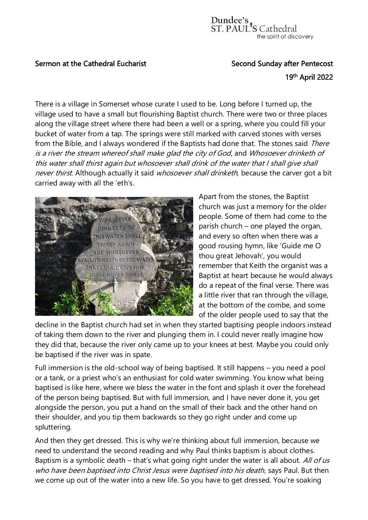## Sermon at the Cathedral Eucharist Second Sunday after Pentecost

## the contract of the contract of the contract of the contract of the contract of the contract of the contract o <sup>th</sup> April 2022

There is a village in Somerset whose curate I used to be. Long before I turned up, the village used to have a small but flourishing Baptist church. There were two or three places along the village street where there had been a well or a spring, where you could fill your bucket of water from a tap. The springs were still marked with carved stones with verses from the Bible, and I always wondered if the Baptists had done that. The stones said There is a river the stream whereof shall make glad the city of God, and Whosoever drinketh of this water shall thirst again but whosoever shall drink of the water that I shall give shall never thirst. Although actually it said whosoever shall drinketh, because the carver got a bit carried away with all the 'eth's.



Apart from the stones, the Baptist church was just a memory for the older people. Some of them had come to the parish church – one played the organ, and every so often when there was a good rousing hymn, like 'Guide me O thou great Jehovah', you would remember that Keith the organist was a Baptist at heart because he would always do a repeat of the final verse. There was a little river that ran through the village, at the bottom of the combe, and some of the older people used to say that the

decline in the Baptist church had set in when they started baptising people indoors instead of taking them down to the river and plunging them in. I could never really imagine how they did that, because the river only came up to your knees at best. Maybe you could only be baptised if the river was in spate.

Full immersion is the old-school way of being baptised. It still happens – you need a pool or a tank, or a priest who's an enthusiast for cold water swimming. You know what being baptised is like here, where we bless the water in the font and splash it over the forehead of the person being baptised. But with full immersion, and I have never done it, you get alongside the person, you put a hand on the small of their back and the other hand on their shoulder, and you tip them backwards so they go right under and come up spluttering.

And then they get dressed. This is why we're thinking about full immersion, because we need to understand the second reading and why Paul thinks baptism is about clothes. Baptism is a symbolic death – that's what going right under the water is all about. All of us who have been baptised into Christ Jesus were baptised into his death, says Paul. But then we come up out of the water into a new life. So you have to get dressed. You're soaking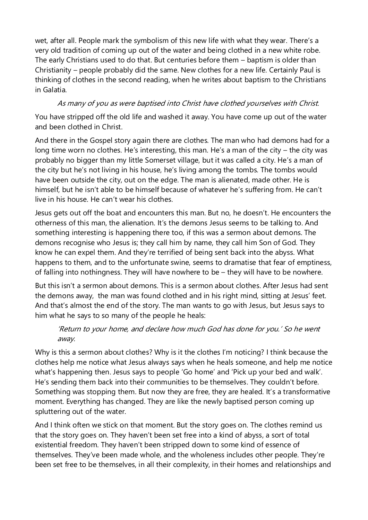wet, after all. People mark the symbolism of this new life with what they wear. There's a very old tradition of coming up out of the water and being clothed in a new white robe. The early Christians used to do that. But centuries before them – baptism is older than Christianity – people probably did the same. New clothes for a new life. Certainly Paul is thinking of clothes in the second reading, when he writes about baptism to the Christians in Galatia.

## As many of you as were baptised into Christ have clothed yourselves with Christ.

You have stripped off the old life and washed it away. You have come up out of the water and been clothed in Christ.

And there in the Gospel story again there are clothes. The man who had demons had for a long time worn no clothes. He's interesting, this man. He's a man of the city – the city was probably no bigger than my little Somerset village, but it was called a city. He's a man of the city but he's not living in his house, he's living among the tombs. The tombs would have been outside the city, out on the edge. The man is alienated, made other. He is himself, but he isn't able to be himself because of whatever he's suffering from. He can't live in his house. He can't wear his clothes.

Jesus gets out off the boat and encounters this man. But no, he doesn't. He encounters the otherness of this man, the alienation. It's the demons Jesus seems to be talking to. And something interesting is happening there too, if this was a sermon about demons. The demons recognise who Jesus is; they call him by name, they call him Son of God. They know he can expel them. And they're terrified of being sent back into the abyss. What happens to them, and to the unfortunate swine, seems to dramatise that fear of emptiness, of falling into nothingness. They will have nowhere to be – they will have to be nowhere.

But this isn't a sermon about demons. This is a sermon about clothes. After Jesus had sent the demons away, the man was found clothed and in his right mind, sitting at Jesus' feet. And that's almost the end of the story. The man wants to go with Jesus, but Jesus says to him what he says to so many of the people he heals:

## 'Return to your home, and declare how much God has done for you.' So he went away.

Why is this a sermon about clothes? Why is it the clothes I'm noticing? I think because the clothes help me notice what Jesus always says when he heals someone, and help me notice what's happening then. Jesus says to people 'Go home' and 'Pick up your bed and walk'. He's sending them back into their communities to be themselves. They couldn't before. Something was stopping them. But now they are free, they are healed. It's a transformative moment. Everything has changed. They are like the newly baptised person coming up spluttering out of the water.

And I think often we stick on that moment. But the story goes on. The clothes remind us that the story goes on. They haven't been set free into a kind of abyss, a sort of total existential freedom. They haven't been stripped down to some kind of essence of themselves. They've been made whole, and the wholeness includes other people. They're been set free to be themselves, in all their complexity, in their homes and relationships and